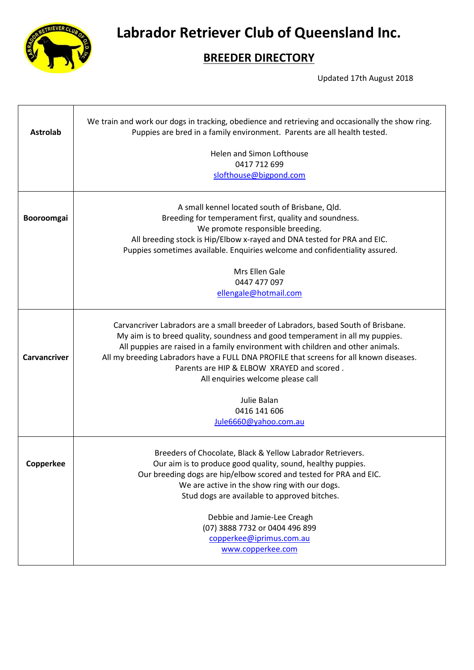

**Labrador Retriever Club of Queensland Inc.**

## **BREEDER DIRECTORY**

Updated 17th August 2018

| <b>Astrolab</b>     | We train and work our dogs in tracking, obedience and retrieving and occasionally the show ring.<br>Puppies are bred in a family environment. Parents are all health tested.                                                                                                                                                                                                                                                                                                               |
|---------------------|--------------------------------------------------------------------------------------------------------------------------------------------------------------------------------------------------------------------------------------------------------------------------------------------------------------------------------------------------------------------------------------------------------------------------------------------------------------------------------------------|
|                     | Helen and Simon Lofthouse                                                                                                                                                                                                                                                                                                                                                                                                                                                                  |
|                     | 0417 712 699                                                                                                                                                                                                                                                                                                                                                                                                                                                                               |
|                     | slofthouse@bigpond.com                                                                                                                                                                                                                                                                                                                                                                                                                                                                     |
|                     | A small kennel located south of Brisbane, Qld.                                                                                                                                                                                                                                                                                                                                                                                                                                             |
| Booroomgai          | Breeding for temperament first, quality and soundness.                                                                                                                                                                                                                                                                                                                                                                                                                                     |
|                     | We promote responsible breeding.                                                                                                                                                                                                                                                                                                                                                                                                                                                           |
|                     | All breeding stock is Hip/Elbow x-rayed and DNA tested for PRA and EIC.                                                                                                                                                                                                                                                                                                                                                                                                                    |
|                     | Puppies sometimes available. Enquiries welcome and confidentiality assured.                                                                                                                                                                                                                                                                                                                                                                                                                |
|                     | Mrs Ellen Gale                                                                                                                                                                                                                                                                                                                                                                                                                                                                             |
|                     | 0447 477 097                                                                                                                                                                                                                                                                                                                                                                                                                                                                               |
|                     | ellengale@hotmail.com                                                                                                                                                                                                                                                                                                                                                                                                                                                                      |
| <b>Carvancriver</b> | Carvancriver Labradors are a small breeder of Labradors, based South of Brisbane.<br>My aim is to breed quality, soundness and good temperament in all my puppies.<br>All puppies are raised in a family environment with children and other animals.<br>All my breeding Labradors have a FULL DNA PROFILE that screens for all known diseases.<br>Parents are HIP & ELBOW XRAYED and scored.<br>All enquiries welcome please call<br>Julie Balan<br>0416 141 606<br>Jule6660@yahoo.com.au |
| Copperkee           | Breeders of Chocolate, Black & Yellow Labrador Retrievers.<br>Our aim is to produce good quality, sound, healthy puppies.<br>Our breeding dogs are hip/elbow scored and tested for PRA and EIC.<br>We are active in the show ring with our dogs.<br>Stud dogs are available to approved bitches.                                                                                                                                                                                           |
|                     | Debbie and Jamie-Lee Creagh<br>(07) 3888 7732 or 0404 496 899<br>copperkee@iprimus.com.au<br>www.copperkee.com                                                                                                                                                                                                                                                                                                                                                                             |